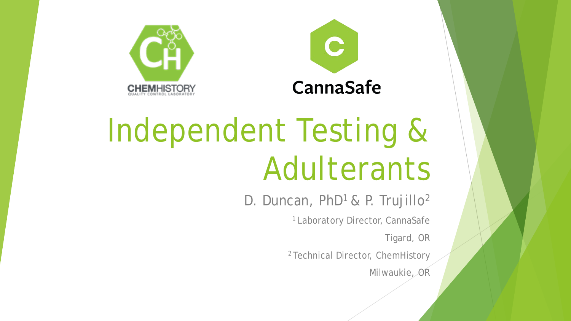



# Independent Testing & Adulterants

D. Duncan, PhD<sup>1</sup> & P. Trujillo<sup>2</sup>

1 Laboratory Director, CannaSafe

Tigard, OR

2 Technical Director, ChemHistory

Milwaukie, OR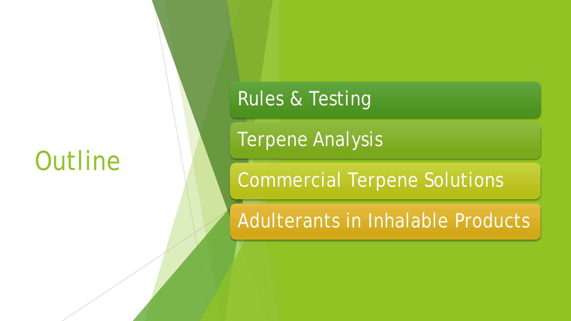## **Outline**

#### Rules & Testing

Terpene Analysis

Commercial Terpene Solutions

Adulterants in Inhalable Products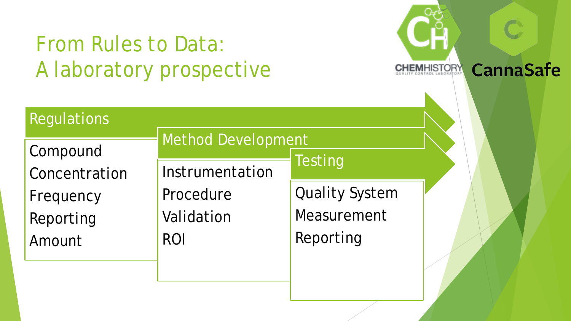### From Rules to Data: A laboratory prospective



**CannaSafe** 

| Regulations   |                           |                       |  |
|---------------|---------------------------|-----------------------|--|
| Compound      | <b>Method Development</b> |                       |  |
| Concentration | Instrumentation           | <b>Testing</b>        |  |
| Frequency     | Procedure                 | <b>Quality System</b> |  |
| Reporting     | Validation                | Measurement           |  |
| Amount        | <b>ROI</b>                | Reporting             |  |
|               |                           |                       |  |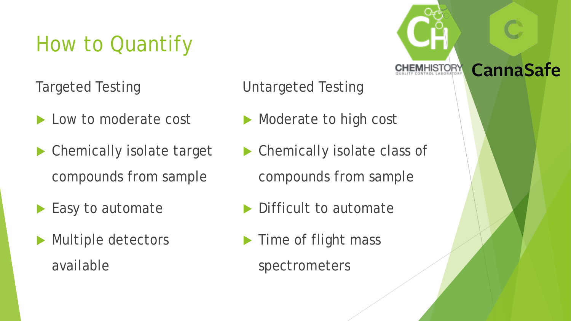## How to Quantify

Targeted Testing

- Low to moderate cost
- Chemically isolate target compounds from sample
- Easy to automate
- Multiple detectors available

Untargeted Testing

- Moderate to high cost
- ▶ Chemically isolate class of compounds from sample

**CannaSafe** 

- Difficult to automate
- Time of flight mass
	- spectrometers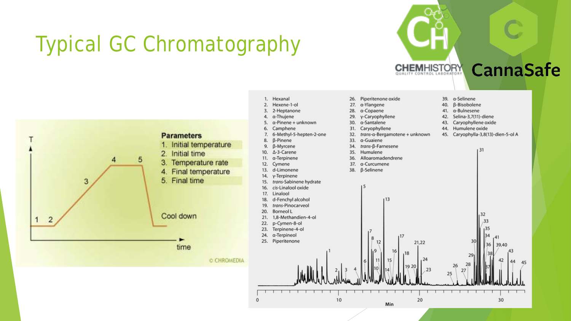## Typical GC Chromatography



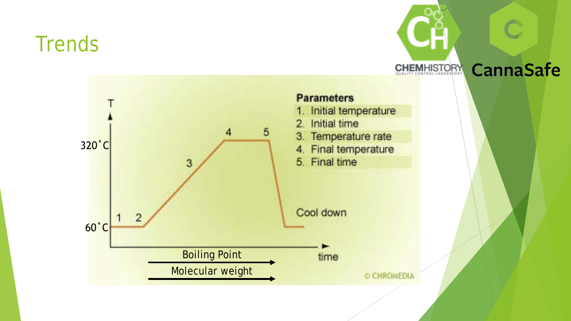#### **Trends**

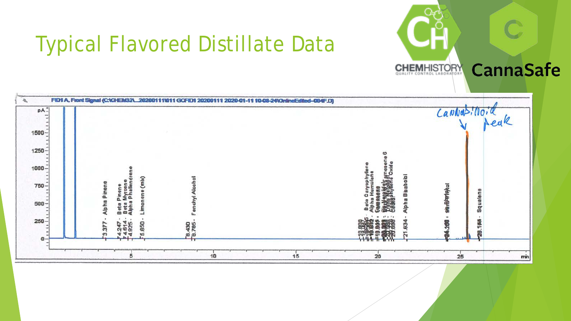

#### Typical Flavored Distillate Data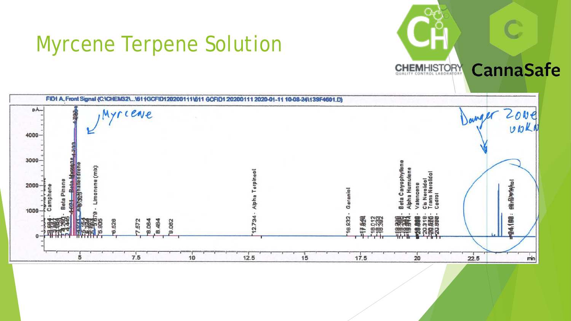#### Myrcene Terpene Solution



**CannaSafe**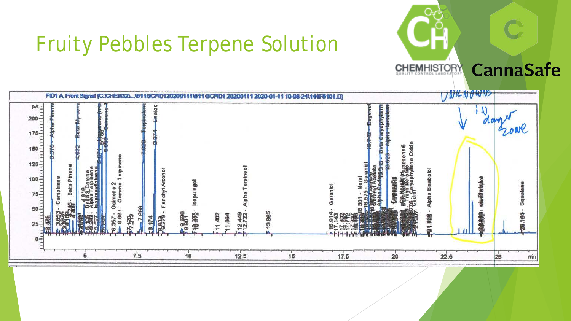



**CannaSafe**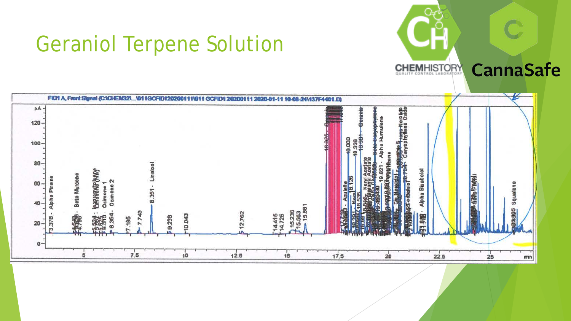#### Geraniol Terpene Solution



**CannaSafe**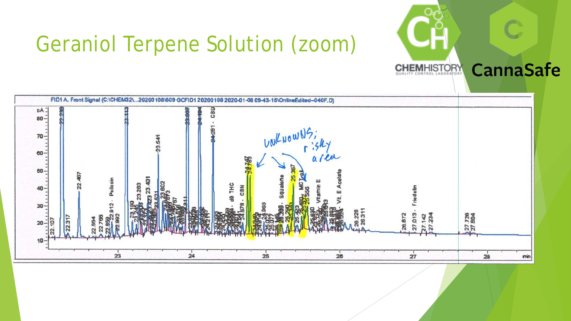### Geraniol Terpene Solution (zoom)



**CannaSafe**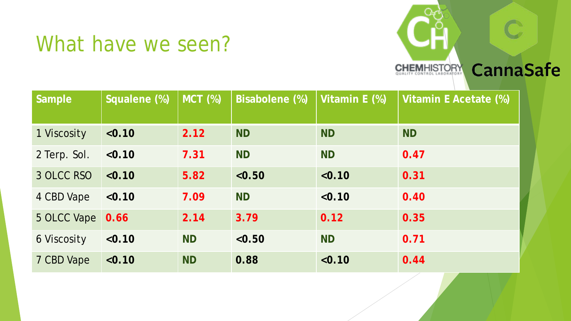#### What have we seen?



| <b>Sample</b> | Squalene (%) | <b>MCT (%)</b> | <b>Bisabolene (%)</b> | Vitamin E (%) | Vitamin E Acetate (%) |
|---------------|--------------|----------------|-----------------------|---------------|-----------------------|
|               |              |                |                       |               |                       |
| 1 Viscosity   | < 0.10       | 2.12           | <b>ND</b>             | <b>ND</b>     | <b>ND</b>             |
| 2 Terp. Sol.  | < 0.10       | 7.31           | <b>ND</b>             | <b>ND</b>     | 0.47                  |
| 3 OLCC RSO    | < 0.10       | 5.82           | < 0.50                | < 0.10        | 0.31                  |
| 4 CBD Vape    | < 0.10       | 7.09           | <b>ND</b>             | < 0.10        | 0.40                  |
| 5 OLCC Vape   | 0.66         | 2.14           | 3.79                  | 0.12          | 0.35                  |
| 6 Viscosity   | < 0.10       | <b>ND</b>      | < 0.50                | <b>ND</b>     | 0.71                  |
| 7 CBD Vape    | < 0.10       | <b>ND</b>      | 0.88                  | < 0.10        | 0.44                  |